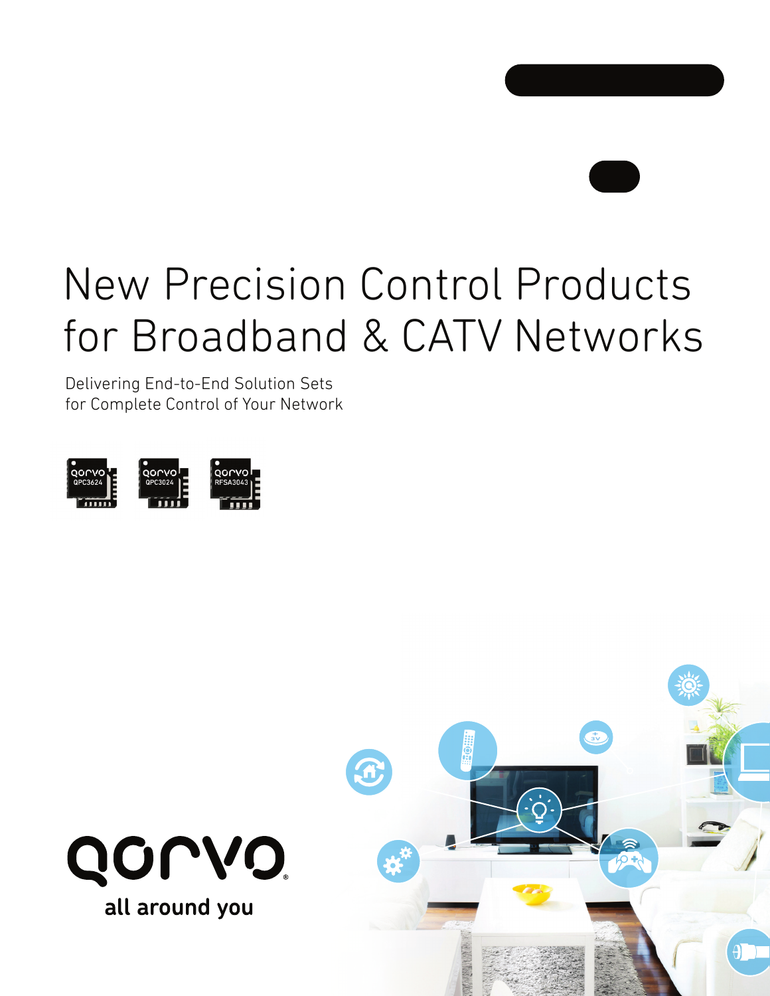

# New Precision Control Products for Broadband & CATV Networks

Delivering End-to-End Solution Sets for Complete Control of Your Network